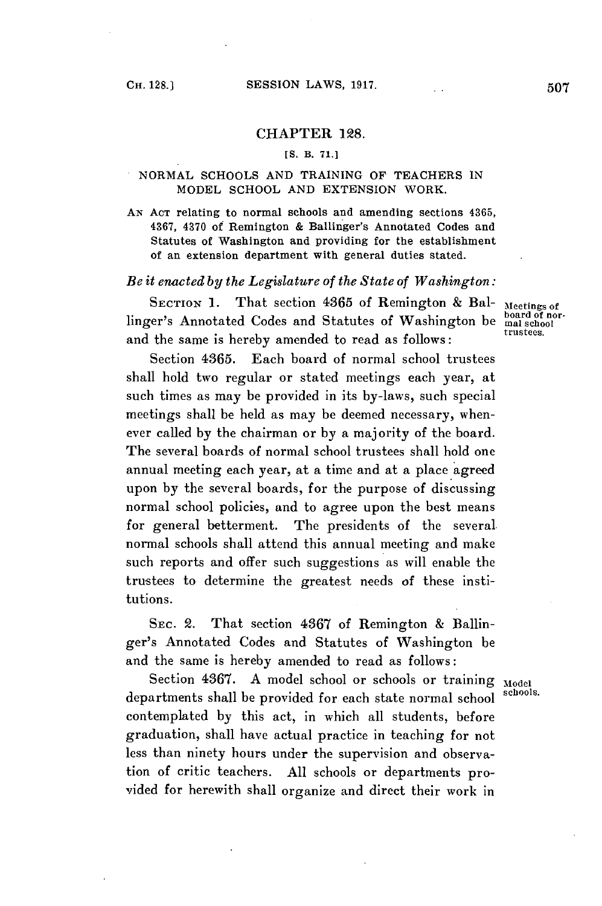#### CHAPTER **128.**

## **[S.** B. **71.]**

#### NORMAL **SCHOOLS AND** TRAINING OF **TEACHERS IN** MODEL **SCHOOL AND EXTENSION** WORK.

**AN ACT** relating to normal schools and amending sections **4365, 4367,** 4370 of Remington **&** Ballinger's Annotated Codes and Statutes of Washington and providing for the establishment of an extension department with general duties stated.

#### *Be it enacted by the Legislature of the State of Washington:*

SECTION 1. That section 4365 of Remington & BalMeetings of  $\frac{1}{2}$  Meetings of  $\frac{1}{2}$ linger's Annotated Codes and Statutes of Washington be mal school of no and the same is hereby amended to read as follows:

Section **4365.** Each board of normal school trustees shall hold two regular or stated meetings each year, at such times as may be provided in its by-laws, such special meetings shall be held as may be deemed necessary, whenever called **by** the chairman or **by** a majority of the board. The several boards of normal school trustees shall hold one annual meeting each year, at a time and at a place agreed upon **by** the several boards, for the purpose of discussing normal school policies, and to agree upon the best means for general betterment. The presidents of the several. normal schools shall attend this annual meeting and make such reports and offer such suggestions as will enable the trustees to determine the greatest needs of these institutions.

SEC. 2. That section **4367** of Remington **&** Ballinger's Annotated Codes and Statutes of Washington be and the same is hereby amended to read as follows:

Section 4367. A model school or schools or training Model departments shall be provided for each state normal school contemplated **by** this act, in which all students, before graduation, shall have actual practice in teaching for not less than ninety hours under the supervision and observation of critic teachers. **All** schools or departments provided for herewith shall organize and direct their work in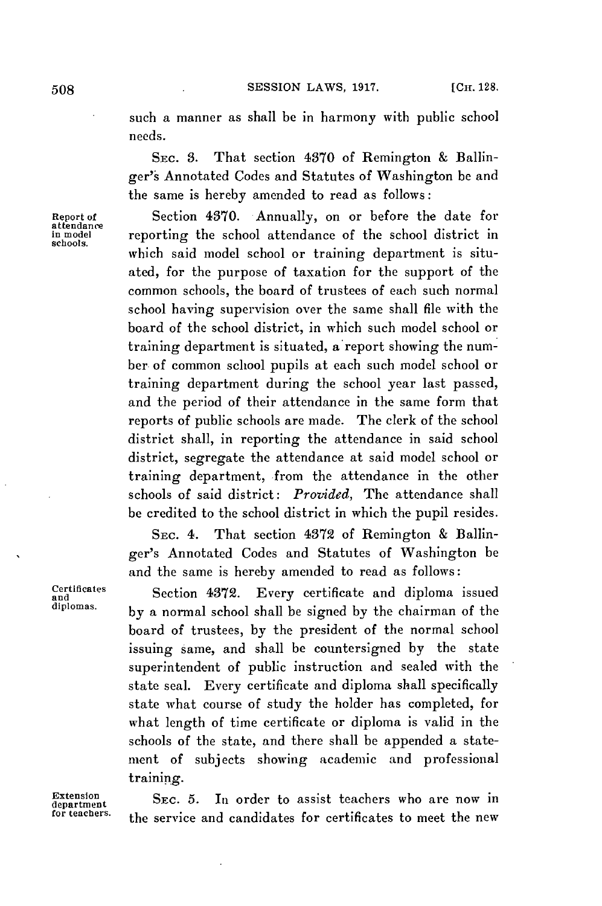**508 SESSION** LAWS, **1917.** [Cu. **128.**

such a manner as shall be in harmony with public school needs.

SEC. **3.** That section 4370 of Remington **&** Ballinger's Annotated Codes and Statutes of Washington be and the same is hereby amended to read as follows:

**Report of** Section 4370. Annually, on or before the date for reporting the school attendance of the school district in which said model school or training department is situated, for the purpose of taxation for the support of the common schools, the board of trustees of each such normal school having supervision over the same shall file with the board of the school district, in which such model school or training department is situated, a report showing the number of common school pupils at each such model school or training department during the school year last passed, and the period of their attendance in the same form that reports of public schools are made. The clerk of the school district shall, in reporting the attendance in said school district, segregate the attendance at said model school or training department, from the attendance in the other schools of said district: *Provided,* The attendance shall be credited to the school district in which the pupil resides.

> SEC. 4. That section 4372 of Remington **&** Ballinger's Annotated Codes and Statutes of Washington be and the same is hereby amended to read as follows:

**Crtincates** Section 4372. Every certificate and diploma issued by a normal school shall be signed by the chairman of the board of trustees, **by** the president of the normal school **issuing same,** and shall be countersigned **by** the state superintendent of public instruction and sealed with the state seal. Every certificate and diploma shall specifically state what course of study the holder has completed, for what length of time certificate or diploma is valid in the schools of the state, and there shall be appended a statement of subjects showing academic and professional **training.**

**Extension**<br>department SEC. 5. In order to assist teachers who are now in<br>forteachers. **for teachers.** the service and candidates for certificates to meet the new

**attendance** schools.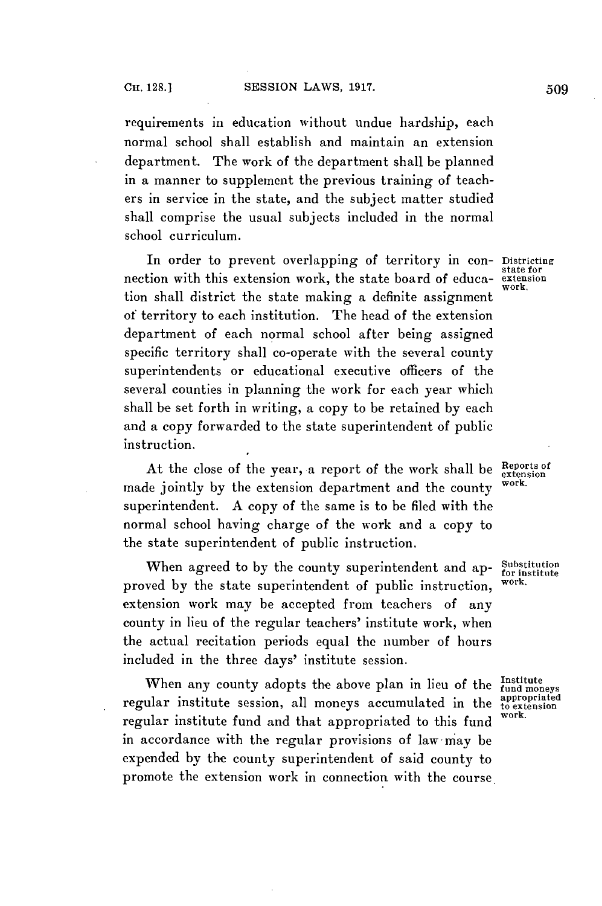requirements in education without undue hardship, each normal school shall establish and maintain an extension department. The work of the department shall be planned in a manner to supplement the previous training of teachers in service in the state, and the subject matter studied shall comprise the usual subjects included in the normal school curriculum.

In order to prevent overlapping of territory in con- Districting nection with this extension work, the state board of education shall district the state making a definite assignment of territory to each institution. The head of the extension department of each normal school after being assigned specific territory shall co-operate with the several county superintendents or educational executive officers of the several counties in planning the work for each year which shall be set forth in writing, a copy to be retained **by** each and a copy forwarded to the state superintendent of public instruction.

At the close of the year, a report of the work shall be **Reports** of made jointly **by** the extension department and the county work. superintendent. **A** copy of the same is to be **filed** with the normal school having charge of the work and a copy to the state superintendent of public instruction.

When agreed to by the county superintendent and ap- Substitution proved **by** the state superintendent of public instruction, **work.** extension work may be accepted from teachers of any county in lieu of the regular teachers' institute work, when the actual recitation periods equal the number of hours included in the three days' institute session.

When any county adopts the above plan in lieu of the Institute regular institute session, all moneys accumulated in the appropriated regular institute fund and that appropriated to this fund in accordance with the regular provisions of law may be expended **by** the county superintendent of said county to promote the extension work in connection with the course.

state for work.